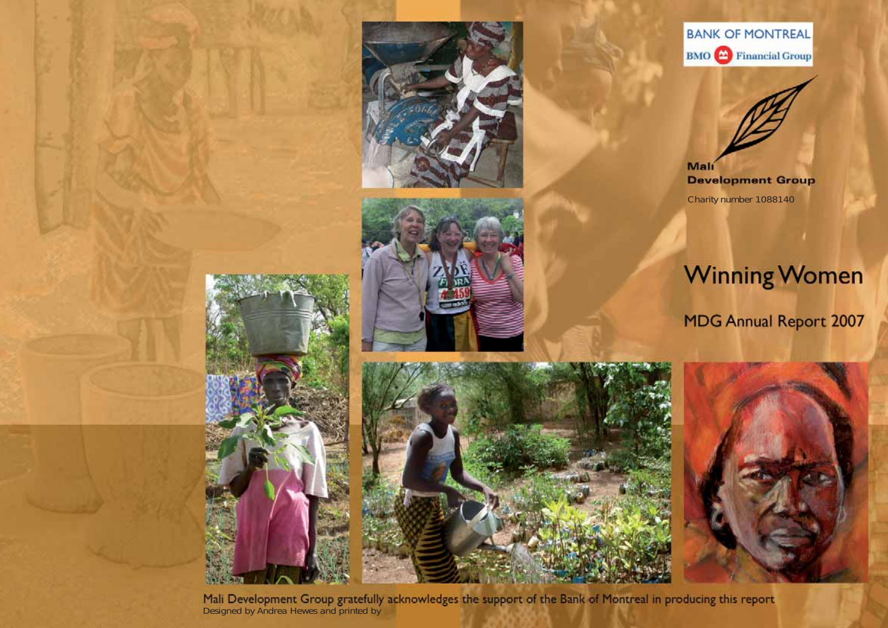







Mali **Development Group** Charity number 1088140

# **Winning Women**

**MDG Annual Report 2007** 



Mali Development Group gratefully acknowledges the support of the Bank of Montreal in producing this report Designed by Andrea Hewes and printed by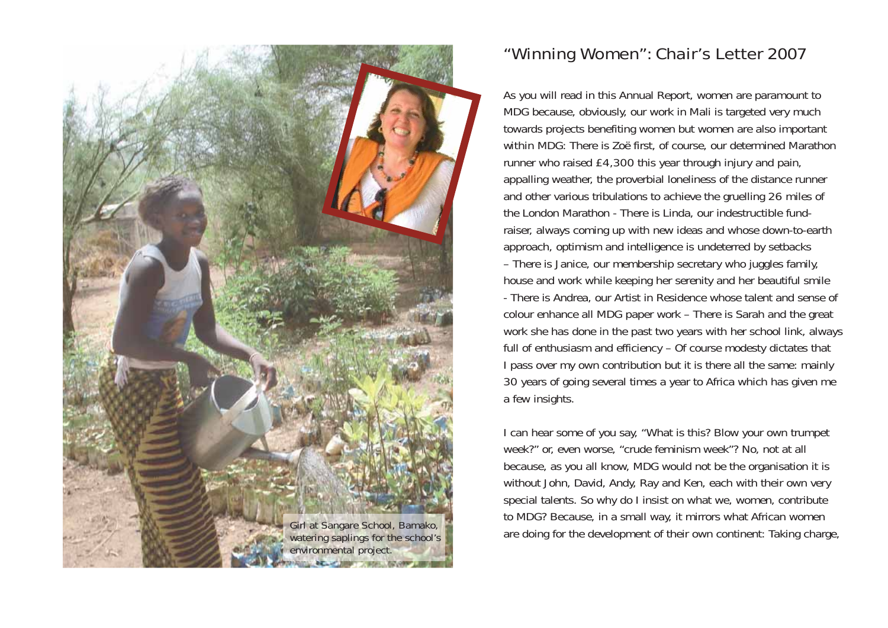

# "Winning Women": Chair's Letter 2007

As you will read in this Annual Report, women are paramount to MDG because, obviously, our work in Mali is targeted very much towards projects benefiting women but women are also important *within* MDG: There is Zoë first, of course, our determined Marathon runner who raised £4,300 this year through injury and pain, appalling weather, the proverbial loneliness of the distance runner and other various tribulations to achieve the gruelling 26 miles of the London Marathon - There is Linda, our indestructible fundraiser, always coming up with new ideas and whose down-to-earth approach, optimism and intelligence is undeterred by setbacks – There is Janice, our membership secretary who juggles family, house and work while keeping her serenity and her beautiful smile - There is Andrea, our Artist in Residence whose talent and sense of colour enhance all MDG paper work – There is Sarah and the great work she has done in the past two years with her school link, always full of enthusiasm and efficiency – Of course modesty dictates that I pass over my own contribution but it is there all the same: mainly 30 years of going several times a year to Africa which has given me a few insights.

I can hear some of you say, "What is this? Blow your own trumpet week?" or, even worse, "crude feminism week"? No, not at all because, as you all know, MDG would not be the organisation it is without John, David, Andy, Ray and Ken, each with their own very special talents. So why do I insist on what we, women, contribute to MDG? Because, in a small way, it mirrors what African women are doing for the development of their own continent: Taking charge, *Girl at Sangare School, Bamako, watering saplings for the school's*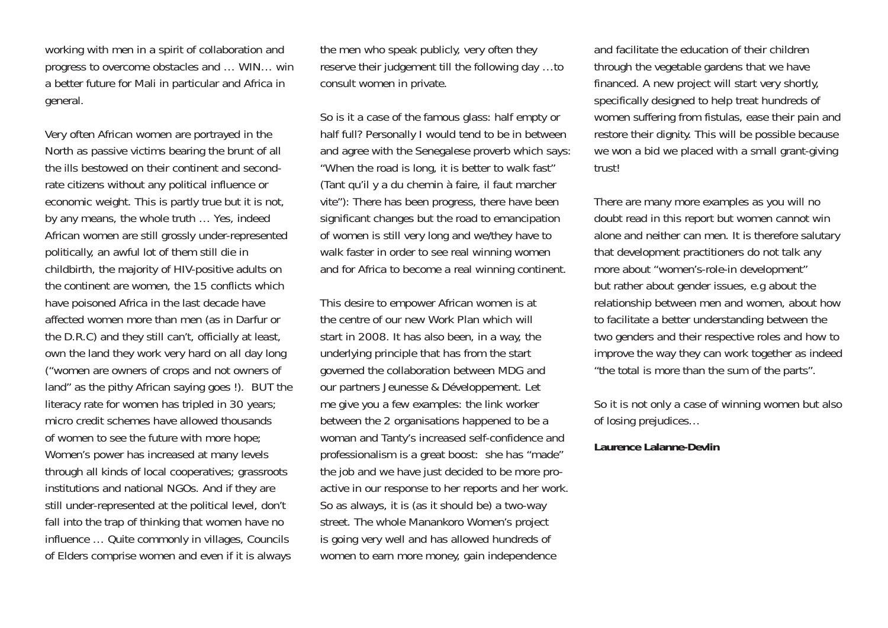working with men in a spirit of collaboration and progress to overcome obstacles and … WIN… win a better future for Mali in particular and Africa in general.

Very often African women are portrayed in the North as passive victims bearing the brunt of all the ills bestowed on their continent and secondrate citizens without any political influence or economic weight. This is partly true but it is not, by any means, the whole truth … Yes, indeed African women are still grossly under-represented politically, an awful lot of them still die in childbirth, the majority of HIV-positive adults on the continent are women, the 15 conflicts which have poisoned Africa in the last decade have affected women more than men (as in Darfur or the D.R.C) and they still can't, officially at least, own the land they work very hard on all day long ("women are owners of crops and not owners of land" as the pithy African saying goes !). *BUT* the literacy rate for women has tripled in 30 years; micro credit schemes have allowed thousands of women to see the future with more hope; Women's power has increased at many levels through all kinds of local cooperatives; grassroots institutions and national NGOs. And if they are still under-represented at the political level, don't fall into the trap of thinking that women have no influence … Quite commonly in villages, Councils of Elders comprise women and even if it is always the men who speak publicly, very often they reserve their judgement till the following day …to consult women in private.

So is it a case of the famous glass: half empty or half full? Personally I would tend to be in between and agree with the Senegalese proverb which says: "When the road is long, it is better to walk fast" (Tant qu'il y a du chemin à faire, il faut marcher vite"): There has been progress, there have been significant changes but the road to emancipation of women is still very long and we/they have to walk faster in order to see real winning women and for Africa to become a real winning continent.

This desire to empower African women is at the centre of our new Work Plan which will start in 2008. It has also been, in a way, the underlying principle that has from the start governed the collaboration between MDG and our partners Jeunesse & Développement. Let me give you a few examples: the link worker between the 2 organisations happened to be a woman and Tanty's increased self-confidence and professionalism is a great boost: she has "made" the job and we have just decided to be more proactive in our response to her reports and her work. So as always, it is (as it should be) a two-way street. The whole Manankoro Women's project is going very well and has allowed hundreds of women to earn more money, gain independence

and facilitate the education of their children through the vegetable gardens that we have financed. A new project will start very shortly, specifically designed to help treat hundreds of women suffering from fistulas, ease their pain and restore their dignity. This will be possible because we *won* a bid we placed with a small grant-giving trust!

There are many more examples as you will no doubt read in this report but women cannot win alone and neither can men. It is therefore salutary that development practitioners do not talk any more about "women's-role-in development" but rather about gender issues, e.g about the relationship between men and women, about how to facilitate a better understanding between the two genders and their respective roles and how to improve the way they can work together as indeed "the total is more than the sum of the parts".

So it is not only a case of winning women but also of losing prejudices…

#### **Laurence Lalanne-Devlin**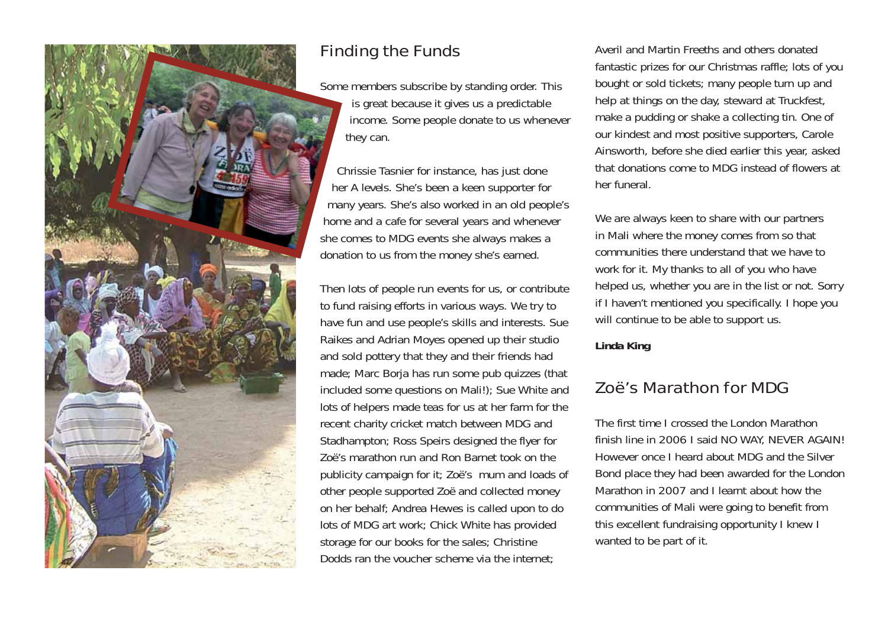

# Finding the Funds

Some members subscribe by standing order. This is great because it gives us a predictable income. Some people donate to us whenever they can.

Chrissie Tasnier for instance, has just done her A levels. She's been a keen supporter for many years. She's also worked in an old people's home and a cafe for several years and whenever she comes to MDG events she always makes a donation to us from the money she's earned.

Then lots of people run events for us, or contribute to fund raising efforts in various ways. We try to have fun and use people's skills and interests. Sue Raikes and Adrian Moyes opened up their studio and sold pottery that they and their friends had made; Marc Borja has run some pub quizzes (that included some questions on Mali!); Sue White and lots of helpers made teas for us at her farm for the recent charity cricket match between MDG and Stadhampton; Ross Speirs designed the flyer for Zoë's marathon run and Ron Barnet took on the publicity campaign for it; Zoë's mum and loads of other people supported Zoë and collected money on her behalf; Andrea Hewes is called upon to do lots of MDG art work; Chick White has provided storage for our books for the sales; Christine Dodds ran the voucher scheme via the internet;

Averil and Martin Freeths and others donated fantastic prizes for our Christmas raffle; lots of you bought or sold tickets; many people turn up and help at things on the day, steward at Truckfest, make a pudding or shake a collecting tin. One of our kindest and most positive supporters, Carole Ainsworth, before she died earlier this year, asked that donations come to MDG instead of flowers at her funeral.

We are always keen to share with our partners in Mali where the money comes from so that communities there understand that we have to work for it. My thanks to all of you who have helped us, whether you are in the list or not. Sorry if I haven't mentioned you specifically. I hope you will continue to be able to support us.

#### **Linda King**

# Zoë's Marathon for MDG

The first time I crossed the London Marathon finish line in 2006 I said NO WAY, NEVER AGAIN! However once I heard about MDG and the Silver Bond place they had been awarded for the London Marathon in 2007 and I learnt about how the communities of Mali were going to benefit from this excellent fundraising opportunity I knew I wanted to be part of it.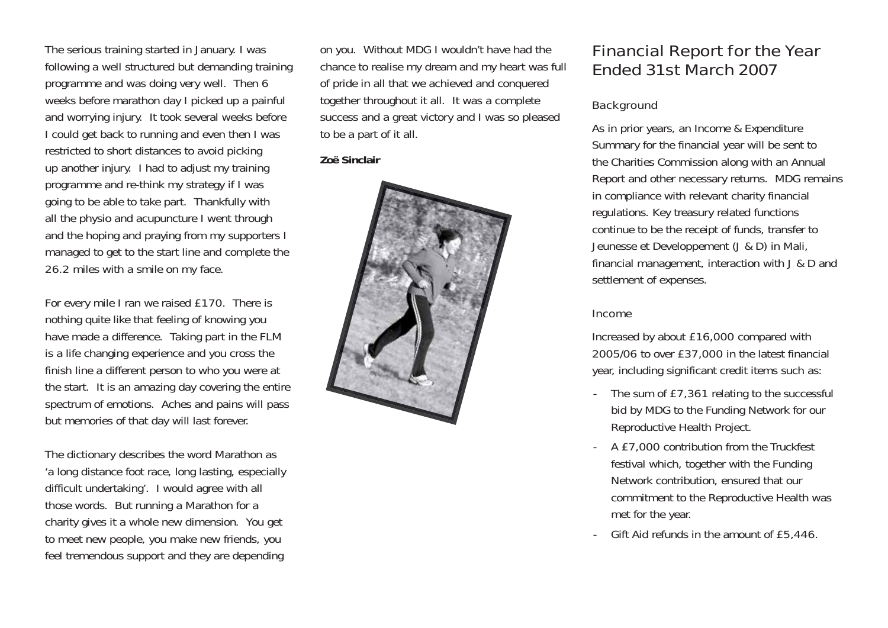The serious training started in January. I was following a well structured but demanding training programme and was doing very well. Then 6 weeks before marathon day I picked up a painful and worrying injury. It took several weeks before I could get back to running and even then I was restricted to short distances to avoid picking up another injury. I had to adjust my training programme and re-think my strategy if I was going to be able to take part. Thankfully with all the physio and acupuncture I went through and the hoping and praying from my supporters I managed to get to the start line and complete the 26.2 miles with a smile on my face.

For every mile I ran we raised £170. There is nothing quite like that feeling of knowing you have made a difference. Taking part in the FLM is a life changing experience and you cross the finish line a different person to who you were at the start. It is an amazing day covering the entire spectrum of emotions. Aches and pains will pass but memories of that day will last forever.

The dictionary describes the word Marathon as 'a long distance foot race, long lasting, especially difficult undertaking'. I would agree with all those words. But running a Marathon for a charity gives it a whole new dimension. You get to meet new people, you make new friends, you feel tremendous support and they are depending

on you. Without MDG I wouldn't have had the chance to realise my dream and my heart was full of pride in all that we achieved and conquered together throughout it all. It was a complete success and a great victory and I was so pleased to be a part of it all.

#### **Zoë Sinclair**



### Financial Report for the Year Ended 31st March 2007

#### **Background**

As in prior years, an Income & Expenditure Summary for the financial year will be sent to the Charities Commission along with an Annual Report and other necessary returns. MDG remains in compliance with relevant charity financial regulations. Key treasury related functions continue to be the receipt of funds, transfer to Jeunesse et Developpement (J & D) in Mali, financial management, interaction with J & D and settlement of expenses.

#### Income

Increased by about £16,000 compared with 2005/06 to over £37,000 in the latest financial year, including significant credit items such as:

- The sum of £7,361 relating to the successful bid by MDG to the Funding Network for our Reproductive Health Project.
- A £7,000 contribution from the Truckfest festival which, together with the Funding Network contribution, ensured that our commitment to the Reproductive Health was met for the year.
- Gift Aid refunds in the amount of £5,446.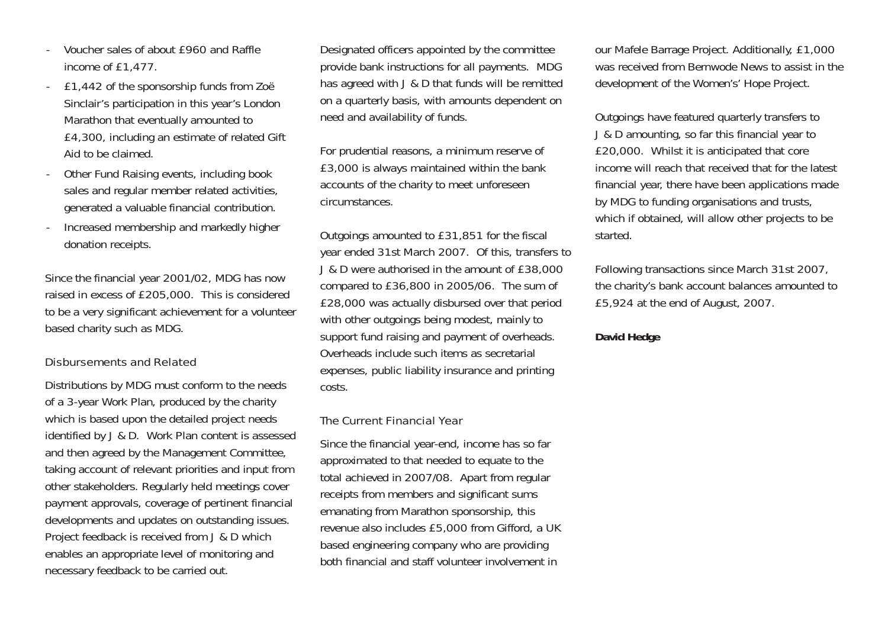- Voucher sales of about £960 and Raffle income of £1,477.
- £1,442 of the sponsorship funds from Zoë Sinclair's participation in this year's London Marathon that eventually amounted to £4,300, including an estimate of related Gift Aid to be claimed.
- Other Fund Raising events, including book sales and regular member related activities, generated a valuable financial contribution.
- Increased membership and markedly higher donation receipts.

Since the financial year 2001/02, MDG has now raised in excess of £205,000. This is considered to be a very significant achievement for a volunteer based charity such as MDG.

#### Disbursements and Related

Distributions by MDG must conform to the needs of a 3-year Work Plan, produced by the charity which is based upon the detailed project needs identified by J & D. Work Plan content is assessed and then agreed by the Management Committee, taking account of relevant priorities and input from other stakeholders. Regularly held meetings cover payment approvals, coverage of pertinent financial developments and updates on outstanding issues. Project feedback is received from J & D which enables an appropriate level of monitoring and necessary feedback to be carried out.

Designated officers appointed by the committee provide bank instructions for all payments. MDG has agreed with J & D that funds will be remitted on a quarterly basis, with amounts dependent on need and availability of funds.

For prudential reasons, a minimum reserve of £3,000 is always maintained within the bank accounts of the charity to meet unforeseen circumstances.

Outgoings amounted to £31,851 for the fiscal year ended 31st March 2007. Of this, transfers to J & D were authorised in the amount of £38,000 compared to £36,800 in 2005/06. The sum of £28,000 was actually disbursed over that period with other outgoings being modest, mainly to support fund raising and payment of overheads. Overheads include such items as secretarial expenses, public liability insurance and printing costs.

#### The Current Financial Year

Since the financial year-end, income has so far approximated to that needed to equate to the total achieved in 2007/08. Apart from regular receipts from members and significant sums emanating from Marathon sponsorship, this revenue also includes £5,000 from Gifford, a UK based engineering company who are providing both financial and staff volunteer involvement in

our Mafele Barrage Project. Additionally, £1,000 was received from Bernwode News to assist in the development of the Women's' Hope Project.

Outgoings have featured quarterly transfers to J & D amounting, so far this financial year to £20,000. Whilst it is anticipated that core income will reach that received that for the latest financial year, there have been applications made by MDG to funding organisations and trusts, which if obtained, will allow other projects to be started.

Following transactions since March 31st 2007, the charity's bank account balances amounted to £5,924 at the end of August, 2007.

#### **David Hedge**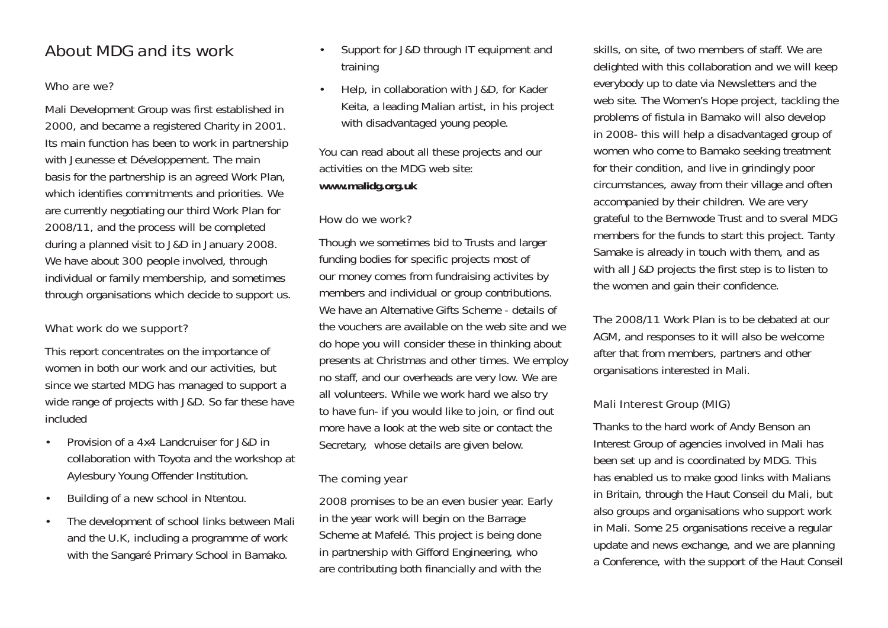### About MDG and its work

### Who are we?

Mali Development Group was first established in 2000, and became a registered Charity in 2001. Its main function has been to work in partnership with Jeunesse et Développement. The main basis for the partnership is an agreed Work Plan, which identifies commitments and priorities. We are currently negotiating our third Work Plan for 2008/11, and the process will be completed during a planned visit to J&D in January 2008. We have about 300 people involved, through individual or family membership, and sometimes through organisations which decide to support us.

#### What work do we support?

This report concentrates on the importance of women in both our work and our activities, but since we started MDG has managed to support a wide range of projects with J&D. So far these have included

- Provision of a 4x4 Landcruiser for J&D in collaboration with Toyota and the workshop at Aylesbury Young Offender Institution.
- Building of a new school in Ntentou.
- The development of school links between Mali and the U.K, including a programme of work with the Sangaré Primary School in Bamako.
- Support for J&D through IT equipment and training
- Help, in collaboration with J&D, for Kader Keita, a leading Malian artist, in his project with disadvantaged young people.

You can read about all these projects and our activities on the MDG web site: **www.malidg.org.uk**

### How do we work?

Though we sometimes bid to Trusts and larger funding bodies for specific projects most of our money comes from fundraising activites by members and individual or group contributions. We have an Alternative Gifts Scheme - details of the vouchers are available on the web site and we do hope you will consider these in thinking about presents at Christmas and other times. We employ no staff, and our overheads are very low. We are all volunteers. While we work hard we also try to have fun- if you would like to join, or find out more have a look at the web site or contact the Secretary, whose details are given below.

#### The coming year

2008 promises to be an even busier year. Early in the year work will begin on the Barrage Scheme at Mafelé. This project is being done in partnership with Gifford Engineering, who are contributing both financially and with the

skills, on site, of two members of staff. We are delighted with this collaboration and we will keep everybody up to date via Newsletters and the web site. The Women's Hope project, tackling the problems of fistula in Bamako will also develop in 2008- this will help a disadvantaged group of women who come to Bamako seeking treatment for their condition, and live in grindingly poor circumstances, away from their village and often accompanied by their children. We are very grateful to the Bernwode Trust and to sveral MDG members for the funds to start this project. Tanty Samake is already in touch with them, and as with all J&D projects the first step is to listen to the women and gain their confidence.

The 2008/11 Work Plan is to be debated at our AGM, and responses to it will also be welcome after that from members, partners and other organisations interested in Mali.

### Mali Interest Group (MIG)

Thanks to the hard work of Andy Benson an Interest Group of agencies involved in Mali has been set up and is coordinated by MDG. This has enabled us to make good links with Malians in Britain, through the Haut Conseil du Mali, but also groups and organisations who support work in Mali. Some 25 organisations receive a regular update and news exchange, and we are planning a Conference, with the support of the Haut Conseil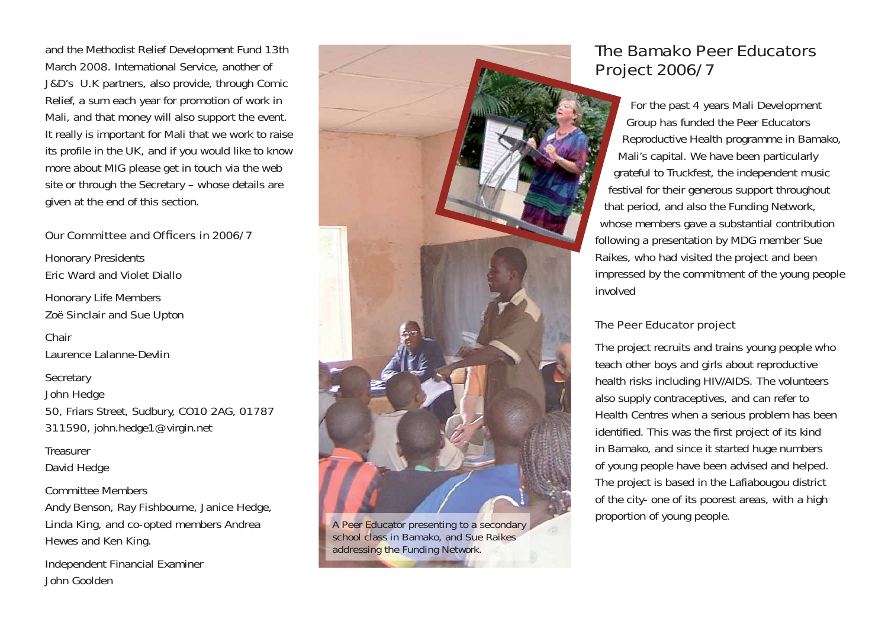and the Methodist Relief Development Fund 13th March 2008. International Service, another of J&D's U.K partners, also provide, through Comic Relief, a sum each year for promotion of work in Mali, and that money will also support the event. It really is important for Mali that we work to raise its profile in the UK, and if you would like to know more about MIG please get in touch via the web site or through the Secretary – whose details are given at the end of this section.

#### Our Committee and Officers in 2006/7

Honorary Presidents *Eric Ward and Violet Diallo*

Honorary Life Members *Zoë Sinclair and Sue Upton*

Chair*Laurence Lalanne-Devlin*

**Secretary** 

*John Hedge*

50, Friars Street, Sudbury, CO10 2AG, 01787 311590, john.hedge1@virgin.net

**Treasurer** 

*David Hedge*

Committee Members

*Andy Benson, Ray Fishbourne, Janice Hedge, Linda King, and co-opted members Andrea Hewes and Ken King.*

Independent Financial Examiner *John Goolden*



*A Peer Educator presenting to a secondary school class in Bamako, and Sue Raikes addressing the Funding Network.*

# The Bamako Peer Educators Project 2006/7

For the past 4 years Mali Development Group has funded the Peer Educators Reproductive Health programme in Bamako, Mali's capital. We have been particularly grateful to Truckfest, the independent music festival for their generous support throughout that period, and also the Funding Network, whose members gave a substantial contribution following a presentation by MDG member Sue Raikes, who had visited the project and been impressed by the commitment of the young people involved

### The Peer Educator project

The project recruits and trains young people who teach other boys and girls about reproductive health risks including HIV/AIDS. The volunteers also supply contraceptives, and can refer to Health Centres when a serious problem has been identified. This was the first project of its kind in Bamako, and since it started huge numbers of young people have been advised and helped. The project is based in the Lafiabougou district of the city- one of its poorest areas, with a high proportion of young people.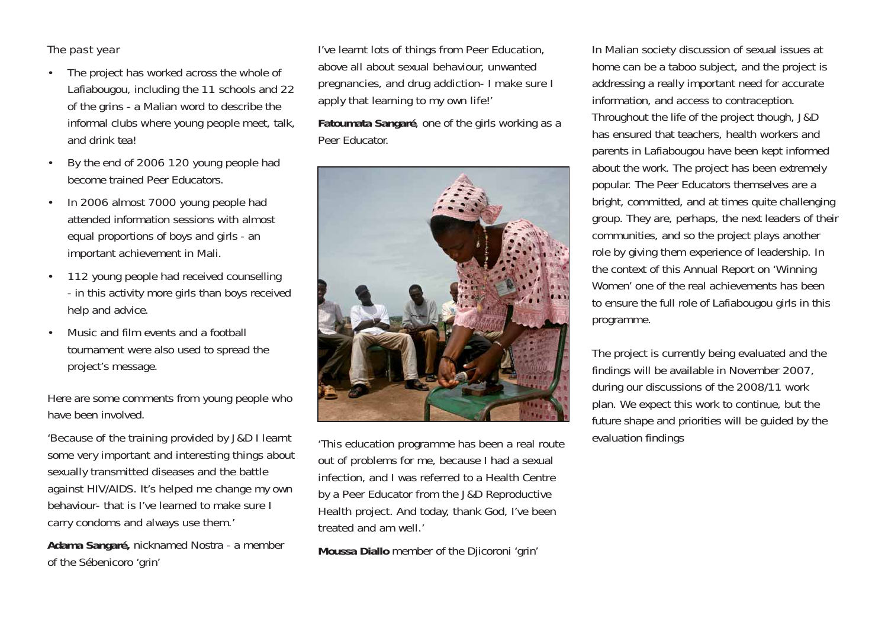#### The past year

- The project has worked across the whole of Lafiabougou, including the 11 schools and 22 of the *grins* - a Malian word to describe the informal clubs where young people meet, talk, and drink tea!
- By the end of 2006 120 young people had become trained Peer Educators.
- In 2006 almost 7000 young people had attended information sessions with almost equal proportions of boys and girls - an important achievement in Mali.
- 112 young people had received counselling - in this activity more girls than boys received help and advice.
- Music and film events and a football tournament were also used to spread the project's message.

Here are some comments from young people who have been involved.

*'Because of the training provided by J&D I learnt some very important and interesting things about sexually transmitted diseases and the battle against HIV/AIDS. It's helped me change my own behaviour- that is I've learned to make sure I carry condoms and always use them.'*

**Adama Sangaré,** nicknamed Nostra - a member of the Sébenicoro 'grin'

*I've learnt lots of things from Peer Education, above all about sexual behaviour, unwanted pregnancies, and drug addiction- I make sure I apply that learning to my own life!'* 

**Fatoumata Sangaré**, one of the girls working as a Peer Educator.



*'This education programme has been a real route out of problems for me, because I had a sexual infection, and I was referred to a Health Centre by a Peer Educator from the J&D Reproductive Health project. And today, thank God, I've been treated and am well.'*

**Moussa Diallo** member of the Djicoroni 'grin'

In Malian society discussion of sexual issues at home can be a taboo subject, and the project is addressing a really important need for accurate information, and access to contraception. Throughout the life of the project though, J&D has ensured that teachers, health workers and parents in Lafiabougou have been kept informed about the work. The project has been extremely popular. The Peer Educators themselves are a bright, committed, and at times quite challenging group. They are, perhaps, the next leaders of their communities, and so the project plays another role by giving them experience of leadership. In the context of this Annual Report on 'Winning Women' one of the real achievements has been to ensure the full role of Lafiabougou girls in this programme.

The project is currently being evaluated and the findings will be available in November 2007, during our discussions of the 2008/11 work plan. We expect this work to continue, but the future shape and priorities will be guided by the evaluation findings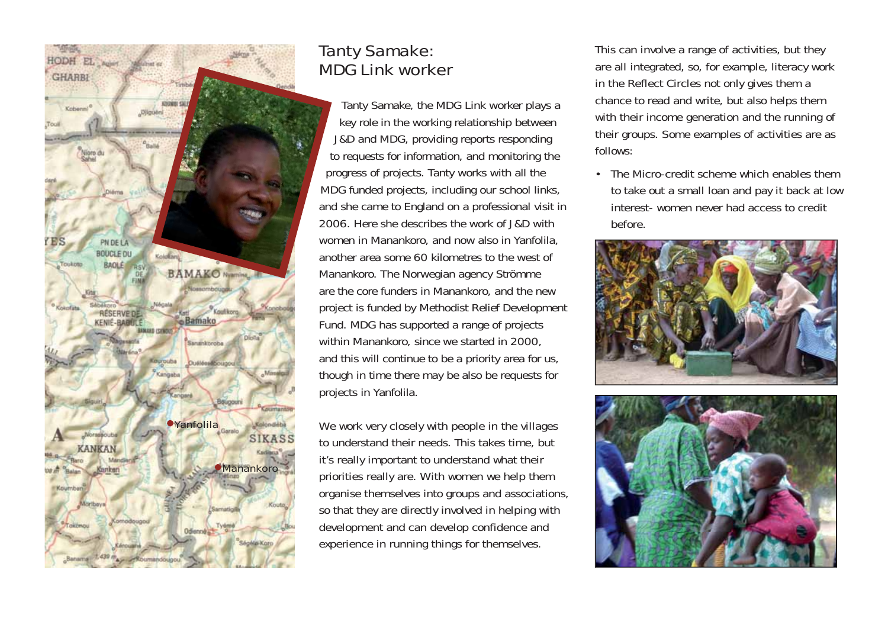

# Tanty Samake: MDG Link worker

Tanty Samake, the MDG Link worker plays a key role in the working relationship between J&D and MDG, providing reports responding to requests for information, and monitoring the progress of projects. Tanty works with all the MDG funded projects, including our school links, and she came to England on a professional visit in 2006. Here she describes the work of J&D with women in Manankoro, and now also in Yanfolila, another area some 60 kilometres to the west of Manankoro. The Norwegian agency Strömme are the core funders in Manankoro, and the new project is funded by Methodist Relief Development Fund. MDG has supported a range of projects within Manankoro, since we started in 2000, and this will continue to be a priority area for us, though in time there may be also be requests for projects in Yanfolila.

*We work very closely with people in the villages to understand their needs. This takes time, but it's really important to understand what their priorities really are. With women we help them organise themselves into groups and associations, so that they are directly involved in helping with development and can develop confidence and experience in running things for themselves.*

*This can involve a range of activities, but they are all integrated, so, for example, literacy work in the Reflect Circles not only gives them a chance to read and write, but also helps them with their income generation and the running of their groups. Some examples of activities are as follows:*

*• The Micro-credit scheme which enables them to take out a small loan and pay it back at low interest- women never had access to credit before.*